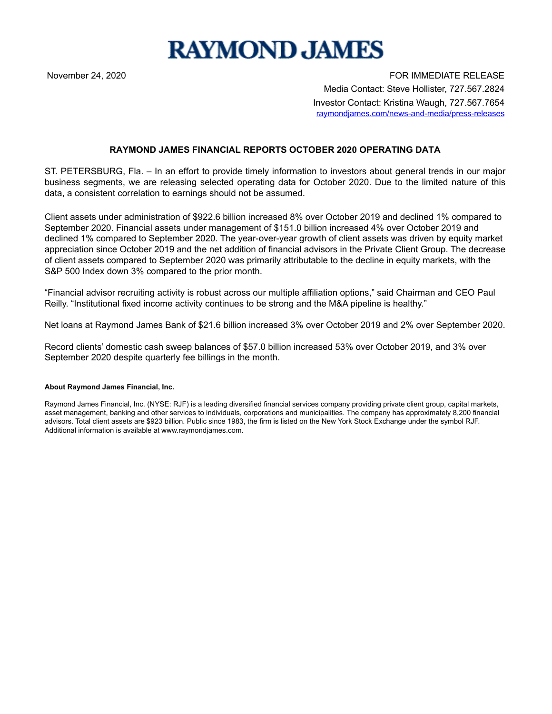

November 24, 2020 FOR IMMEDIATE RELEASE Media Contact: Steve Hollister, 727.567.2824 Investor Contact: Kristina Waugh, 727.567.7654 raymondjames.com/news-and-media/press-releases

## **RAYMOND JAMES FINANCIAL REPORTS OCTOBER 2020 OPERATING DATA**

ST. PETERSBURG, Fla. – In an effort to provide timely information to investors about general trends in our major business segments, we are releasing selected operating data for October 2020. Due to the limited nature of this data, a consistent correlation to earnings should not be assumed.

Client assets under administration of \$922.6 billion increased 8% over October 2019 and declined 1% compared to September 2020. Financial assets under management of \$151.0 billion increased 4% over October 2019 and declined 1% compared to September 2020. The year-over-year growth of client assets was driven by equity market appreciation since October 2019 and the net addition of financial advisors in the Private Client Group. The decrease of client assets compared to September 2020 was primarily attributable to the decline in equity markets, with the S&P 500 Index down 3% compared to the prior month.

"Financial advisor recruiting activity is robust across our multiple affiliation options," said Chairman and CEO Paul Reilly. "Institutional fixed income activity continues to be strong and the M&A pipeline is healthy."

Net loans at Raymond James Bank of \$21.6 billion increased 3% over October 2019 and 2% over September 2020.

Record clients' domestic cash sweep balances of \$57.0 billion increased 53% over October 2019, and 3% over September 2020 despite quarterly fee billings in the month.

## **About Raymond James Financial, Inc.**

Raymond James Financial, Inc. (NYSE: RJF) is a leading diversified financial services company providing private client group, capital markets, asset management, banking and other services to individuals, corporations and municipalities. The company has approximately 8,200 financial advisors. Total client assets are \$923 billion. Public since 1983, the firm is listed on the New York Stock Exchange under the symbol RJF. Additional information is available at www.raymondjames.com.